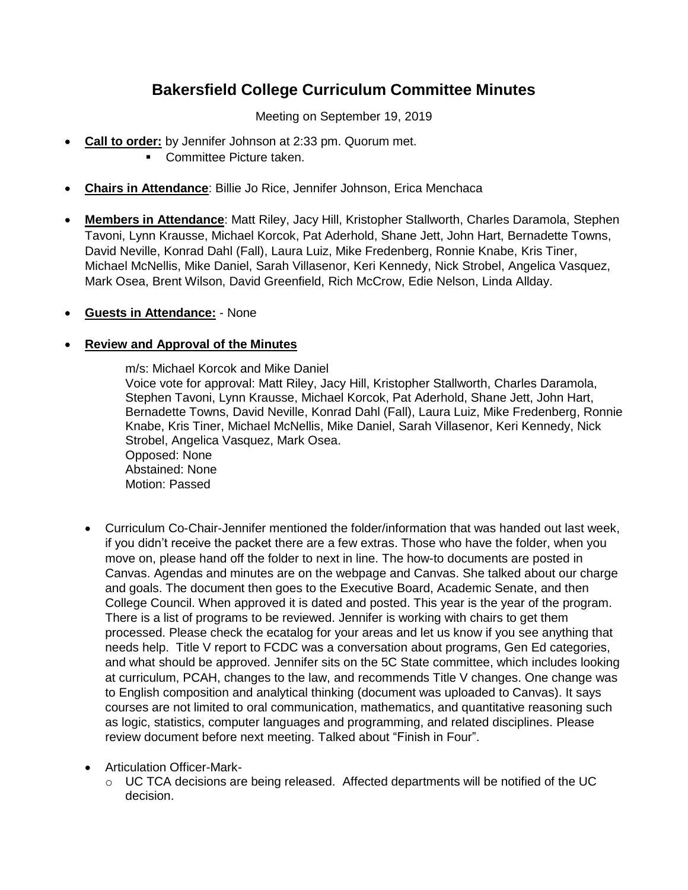## **Bakersfield College Curriculum Committee Minutes**

Meeting on September 19, 2019

- **Call to order:** by Jennifer Johnson at 2:33 pm. Quorum met.
	- **Committee Picture taken.**
- **Chairs in Attendance**: Billie Jo Rice, Jennifer Johnson, Erica Menchaca
- **Members in Attendance**: Matt Riley, Jacy Hill, Kristopher Stallworth, Charles Daramola, Stephen Tavoni, Lynn Krausse, Michael Korcok, Pat Aderhold, Shane Jett, John Hart, Bernadette Towns, David Neville, Konrad Dahl (Fall), Laura Luiz, Mike Fredenberg, Ronnie Knabe, Kris Tiner, Michael McNellis, Mike Daniel, Sarah Villasenor, Keri Kennedy, Nick Strobel, Angelica Vasquez, Mark Osea, Brent Wilson, David Greenfield, Rich McCrow, Edie Nelson, Linda Allday.
- **Guests in Attendance:** None

## **Review and Approval of the Minutes**

m/s: Michael Korcok and Mike Daniel Voice vote for approval: Matt Riley, Jacy Hill, Kristopher Stallworth, Charles Daramola, Stephen Tavoni, Lynn Krausse, Michael Korcok, Pat Aderhold, Shane Jett, John Hart, Bernadette Towns, David Neville, Konrad Dahl (Fall), Laura Luiz, Mike Fredenberg, Ronnie Knabe, Kris Tiner, Michael McNellis, Mike Daniel, Sarah Villasenor, Keri Kennedy, Nick Strobel, Angelica Vasquez, Mark Osea. Opposed: None Abstained: None Motion: Passed

- Curriculum Co-Chair-Jennifer mentioned the folder/information that was handed out last week, if you didn't receive the packet there are a few extras. Those who have the folder, when you move on, please hand off the folder to next in line. The how-to documents are posted in Canvas. Agendas and minutes are on the webpage and Canvas. She talked about our charge and goals. The document then goes to the Executive Board, Academic Senate, and then College Council. When approved it is dated and posted. This year is the year of the program. There is a list of programs to be reviewed. Jennifer is working with chairs to get them processed. Please check the ecatalog for your areas and let us know if you see anything that needs help. Title V report to FCDC was a conversation about programs, Gen Ed categories, and what should be approved. Jennifer sits on the 5C State committee, which includes looking at curriculum, PCAH, changes to the law, and recommends Title V changes. One change was to English composition and analytical thinking (document was uploaded to Canvas). It says courses are not limited to oral communication, mathematics, and quantitative reasoning such as logic, statistics, computer languages and programming, and related disciplines. Please review document before next meeting. Talked about "Finish in Four".
- Articulation Officer-Mark-
	- $\circ$  UC TCA decisions are being released. Affected departments will be notified of the UC decision.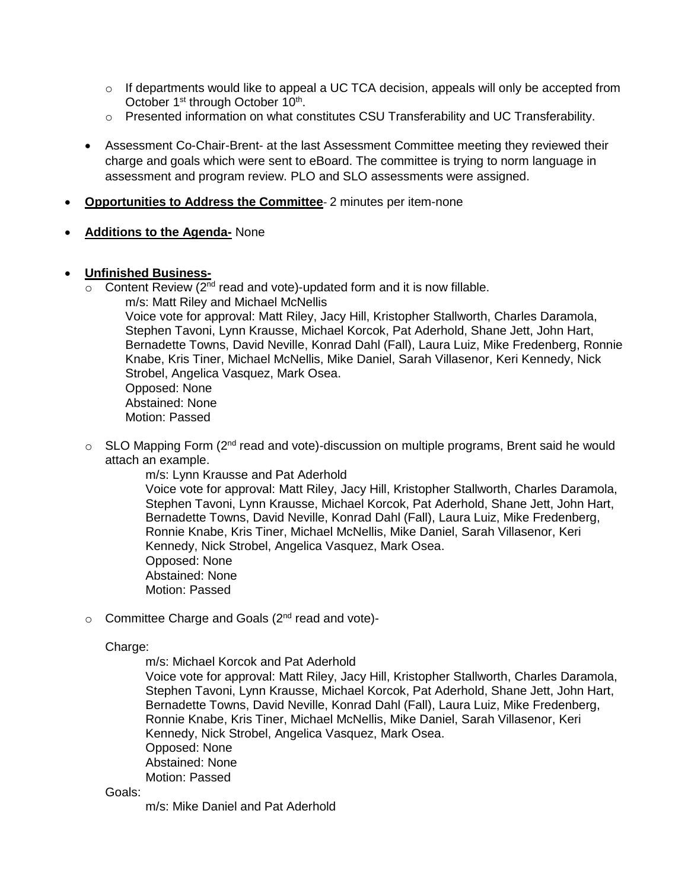- $\circ$  If departments would like to appeal a UC TCA decision, appeals will only be accepted from October 1<sup>st</sup> through October 10<sup>th</sup>.
- o Presented information on what constitutes CSU Transferability and UC Transferability.
- Assessment Co-Chair-Brent- at the last Assessment Committee meeting they reviewed their charge and goals which were sent to eBoard. The committee is trying to norm language in assessment and program review. PLO and SLO assessments were assigned.
- **Opportunities to Address the Committee** 2 minutes per item-none
- **Additions to the Agenda-** None

## **Unfinished Business-**

- $\circ$  Content Review (2<sup>nd</sup> read and vote)-updated form and it is now fillable.
	- m/s: Matt Riley and Michael McNellis

Voice vote for approval: Matt Riley, Jacy Hill, Kristopher Stallworth, Charles Daramola, Stephen Tavoni, Lynn Krausse, Michael Korcok, Pat Aderhold, Shane Jett, John Hart, Bernadette Towns, David Neville, Konrad Dahl (Fall), Laura Luiz, Mike Fredenberg, Ronnie Knabe, Kris Tiner, Michael McNellis, Mike Daniel, Sarah Villasenor, Keri Kennedy, Nick Strobel, Angelica Vasquez, Mark Osea.

Opposed: None Abstained: None Motion: Passed

 $\circ$  SLO Mapping Form (2<sup>nd</sup> read and vote)-discussion on multiple programs, Brent said he would attach an example.

> m/s: Lynn Krausse and Pat Aderhold Voice vote for approval: Matt Riley, Jacy Hill, Kristopher Stallworth, Charles Daramola, Stephen Tavoni, Lynn Krausse, Michael Korcok, Pat Aderhold, Shane Jett, John Hart, Bernadette Towns, David Neville, Konrad Dahl (Fall), Laura Luiz, Mike Fredenberg, Ronnie Knabe, Kris Tiner, Michael McNellis, Mike Daniel, Sarah Villasenor, Keri Kennedy, Nick Strobel, Angelica Vasquez, Mark Osea. Opposed: None Abstained: None Motion: Passed

o Committee Charge and Goals (2<sup>nd</sup> read and vote)-

Charge:

m/s: Michael Korcok and Pat Aderhold

Voice vote for approval: Matt Riley, Jacy Hill, Kristopher Stallworth, Charles Daramola, Stephen Tavoni, Lynn Krausse, Michael Korcok, Pat Aderhold, Shane Jett, John Hart, Bernadette Towns, David Neville, Konrad Dahl (Fall), Laura Luiz, Mike Fredenberg, Ronnie Knabe, Kris Tiner, Michael McNellis, Mike Daniel, Sarah Villasenor, Keri Kennedy, Nick Strobel, Angelica Vasquez, Mark Osea. Opposed: None Abstained: None Motion: Passed

Goals:

m/s: Mike Daniel and Pat Aderhold